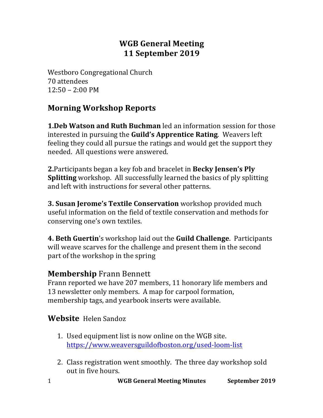### **WGB General Meeting 11 September 2019**

Westboro Congregational Church 70 attendees  $12:50 - 2:00 \text{ PM}$ 

### **Morning Workshop Reports**

**1.Deb Watson and Ruth Buchman** led an information session for those interested in pursuing the **Guild's Apprentice Rating**. Weavers left feeling they could all pursue the ratings and would get the support they needed. All questions were answered.

**2.** Participants began a key fob and bracelet in **Becky Jensen's Ply Splitting** workshop. All successfully learned the basics of ply splitting and left with instructions for several other patterns.

**3. Susan Jerome's Textile Conservation** workshop provided much useful information on the field of textile conservation and methods for conserving one's own textiles.

**4. Beth Guertin's workshop laid out the Guild Challenge.** Participants will weave scarves for the challenge and present them in the second part of the workshop in the spring

### **Membership Frann Bennett**

Frann reported we have 207 members, 11 honorary life members and 13 newsletter only members. A map for carpool formation, membership tags, and yearbook inserts were available.

### **Website** Helen Sandoz

- 1. Used equipment list is now online on the WGB site. https://www.weaversguildofboston.org/used-loom-list
- 2. Class registration went smoothly. The three day workshop sold out in five hours.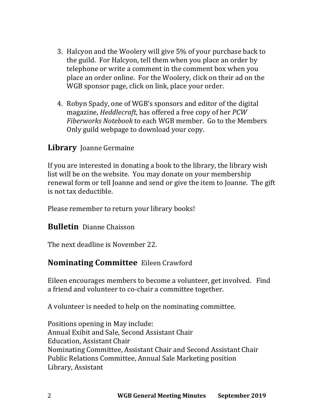- 3. Halcyon and the Woolery will give 5% of your purchase back to the guild. For Halcyon, tell them when you place an order by telephone or write a comment in the comment box when you place an order online. For the Woolery, click on their ad on the WGB sponsor page, click on link, place your order.
- 4. Robyn Spady, one of WGB's sponsors and editor of the digital magazine, *Heddlecraft*, has offered a free copy of her *PCW Fiberworks Notebook* to each WGB member. Go to the Members Only guild webpage to download your copy.

### **Library** Joanne Germaine

If you are interested in donating a book to the library, the library wish list will be on the website. You may donate on your membership renewal form or tell Joanne and send or give the item to Joanne. The gift is not tax deductible.

Please remember to return your library books!

#### **Bulletin** Dianne Chaisson

The next deadline is November 22.

### **Nominating Committee** Eileen Crawford

Eileen encourages members to become a volunteer, get involved. Find a friend and volunteer to co-chair a committee together.

A volunteer is needed to help on the nominating committee.

Positions opening in May include: Annual Exibit and Sale, Second Assistant Chair Education, Assistant Chair Nominating Committee, Assistant Chair and Second Assistant Chair Public Relations Committee, Annual Sale Marketing position Library, Assistant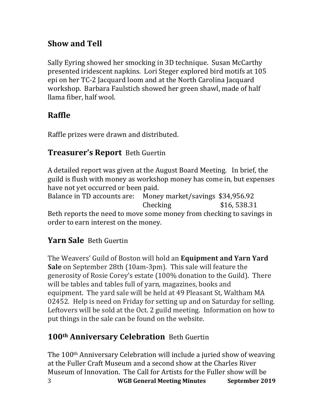## **Show and Tell**

Sally Eyring showed her smocking in 3D technique. Susan McCarthy presented iridescent napkins. Lori Steger explored bird motifs at 105 epi on her TC-2 Jacquard loom and at the North Carolina Jacquard workshop. Barbara Faulstich showed her green shawl, made of half llama fiber, half wool.

# **Raffle**

Raffle prizes were drawn and distributed.

### **Treasurer's Report** Beth Guertin

A detailed report was given at the August Board Meeting. In brief, the guild is flush with money as workshop money has come in, but expenses have not yet occurred or been paid.

Balance in TD accounts are: Money market/savings \$34,956.92 Checking \$16,538.31

Beth reports the need to move some money from checking to savings in order to earn interest on the money.

## **Yarn Sale** Beth Guertin

The Weavers' Guild of Boston will hold an **Equipment and Yarn Yard Sale** on September 28th (10am-3pm). This sale will feature the generosity of Rosie Corey's estate (100% donation to the Guild). There will be tables and tables full of yarn, magazines, books and equipment. The yard sale will be held at 49 Pleasant St, Waltham MA 02452. Help is need on Friday for setting up and on Saturday for selling. Leftovers will be sold at the Oct. 2 guild meeting. Information on how to put things in the sale can be found on the website.

## 100<sup>th</sup> **Anniversary Celebration** Beth Guertin

3 **WGB General Meeting Minutes September 2019** The  $100<sup>th</sup>$  Anniversary Celebration will include a juried show of weaving at the Fuller Craft Museum and a second show at the Charles River Museum of Innovation. The Call for Artists for the Fuller show will be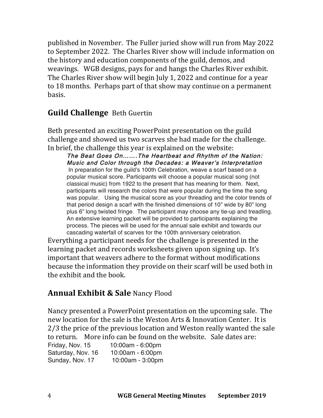published in November. The Fuller juried show will run from May 2022 to September 2022. The Charles River show will include information on the history and education components of the guild, demos, and weavings. WGB designs, pays for and hangs the Charles River exhibit. The Charles River show will begin July 1, 2022 and continue for a year to 18 months. Perhaps part of that show may continue on a permanent basis.

### **Guild Challenge** Beth Guertin

Beth presented an exciting PowerPoint presentation on the guild challenge and showed us two scarves she had made for the challenge. In brief, the challenge this year is explained on the website:

The Beat Goes On…….The Heartbeat and Rhythm of the Nation: Music and Color through the Decades: a Weaver's Interpretation In preparation for the guild's 100th Celebration, weave a scarf based on a popular musical score. Participants will choose a popular musical song (not classical music) from 1922 to the present that has meaning for them. Next, participants will research the colors that were popular during the time the song was popular. Using the musical score as your threading and the color trends of that period design a scarf with the finished dimensions of 10" wide by 80" long plus 6" long twisted fringe. The participant may choose any tie-up and treadling. An extensive learning packet will be provided to participants explaining the process. The pieces will be used for the annual sale exhibit and towards our cascading waterfall of scarves for the 100th anniversary celebration.

Everything a participant needs for the challenge is presented in the learning packet and records worksheets given upon signing up. It's important that weavers adhere to the format without modifications because the information they provide on their scarf will be used both in the exhibit and the book.

### **Annual Exhibit & Sale Nancy Flood**

Nancy presented a PowerPoint presentation on the upcoming sale. The new location for the sale is the Weston Arts & Innovation Center. It is 2/3 the price of the previous location and Weston really wanted the sale to return. More info can be found on the website. Sale dates are:

Friday, Nov. 15 10:00am - 6:00pm Saturday, Nov. 16 10:00am - 6:00pm Sunday, Nov. 17 10:00am - 3:00pm